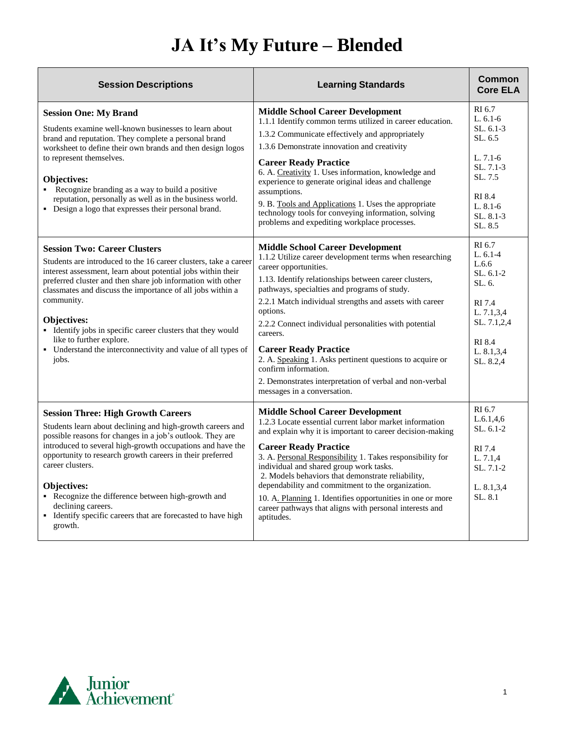## **JA It's My Future – Blended**

| <b>Session Descriptions</b>                                                                                                                                                                                                                                                                                                                                                                                                                                                                           | <b>Learning Standards</b>                                                                                                                                                                                                                                                                                                                                                                                                                                                                                                                                                                      | <b>Common</b><br><b>Core ELA</b>                                                                                                           |
|-------------------------------------------------------------------------------------------------------------------------------------------------------------------------------------------------------------------------------------------------------------------------------------------------------------------------------------------------------------------------------------------------------------------------------------------------------------------------------------------------------|------------------------------------------------------------------------------------------------------------------------------------------------------------------------------------------------------------------------------------------------------------------------------------------------------------------------------------------------------------------------------------------------------------------------------------------------------------------------------------------------------------------------------------------------------------------------------------------------|--------------------------------------------------------------------------------------------------------------------------------------------|
| <b>Session One: My Brand</b><br>Students examine well-known businesses to learn about<br>brand and reputation. They complete a personal brand<br>worksheet to define their own brands and then design logos<br>to represent themselves.<br>Objectives:<br>• Recognize branding as a way to build a positive<br>reputation, personally as well as in the business world.<br>• Design a logo that expresses their personal brand.                                                                       | <b>Middle School Career Development</b><br>1.1.1 Identify common terms utilized in career education.<br>1.3.2 Communicate effectively and appropriately<br>1.3.6 Demonstrate innovation and creativity<br><b>Career Ready Practice</b><br>6. A. Creativity 1. Uses information, knowledge and<br>experience to generate original ideas and challenge<br>assumptions.<br>9. B. Tools and Applications 1. Uses the appropriate<br>technology tools for conveying information, solving<br>problems and expediting workplace processes.                                                            | RI 6.7<br>L. $6.1-6$<br>$SL.6.1-3$<br>SL, 6.5<br>$L.7.1-6$<br>$SL. 7.1-3$<br>SL 7.5<br><b>RI</b> 8.4<br>$L. 8.1-6$<br>SL, 8.1-3<br>SL, 8.5 |
| <b>Session Two: Career Clusters</b><br>Students are introduced to the 16 career clusters, take a career<br>interest assessment, learn about potential jobs within their<br>preferred cluster and then share job information with other<br>classmates and discuss the importance of all jobs within a<br>community.<br>Objectives:<br>• Identify jobs in specific career clusters that they would<br>like to further explore.<br>• Understand the interconnectivity and value of all types of<br>jobs. | <b>Middle School Career Development</b><br>1.1.2 Utilize career development terms when researching<br>career opportunities.<br>1.13. Identify relationships between career clusters,<br>pathways, specialties and programs of study.<br>2.2.1 Match individual strengths and assets with career<br>options.<br>2.2.2 Connect individual personalities with potential<br>careers.<br><b>Career Ready Practice</b><br>2. A. Speaking 1. Asks pertinent questions to acquire or<br>confirm information.<br>2. Demonstrates interpretation of verbal and non-verbal<br>messages in a conversation. | RI 6.7<br>L. $6.1-4$<br>L.6.6<br>$SL. 6.1-2$<br>SL, 6.<br>RI 7.4<br>L. 7.1,3,4<br>SL. 7.1,2,4<br>RI 8.4<br>L. 8.1,3,4<br>SL, 8.2.4         |
| <b>Session Three: High Growth Careers</b><br>Students learn about declining and high-growth careers and<br>possible reasons for changes in a job's outlook. They are<br>introduced to several high-growth occupations and have the<br>opportunity to research growth careers in their preferred<br>career clusters.<br>Objectives:<br>• Recognize the difference between high-growth and<br>declining careers.<br>• Identify specific careers that are forecasted to have high<br>growth.             | <b>Middle School Career Development</b><br>1.2.3 Locate essential current labor market information<br>and explain why it is important to career decision-making<br><b>Career Ready Practice</b><br>3. A. Personal Responsibility 1. Takes responsibility for<br>individual and shared group work tasks.<br>2. Models behaviors that demonstrate reliability,<br>dependability and commitment to the organization.<br>10. A. Planning 1. Identifies opportunities in one or more<br>career pathways that aligns with personal interests and<br>aptitudes.                                       | RI 6.7<br>L.6.1, 4.6<br>$SL.6.1-2$<br>RI 7.4<br>L. 7.1.4<br>SL. 7.1-2<br>L. 8.1,3,4<br>SL, 8.1                                             |